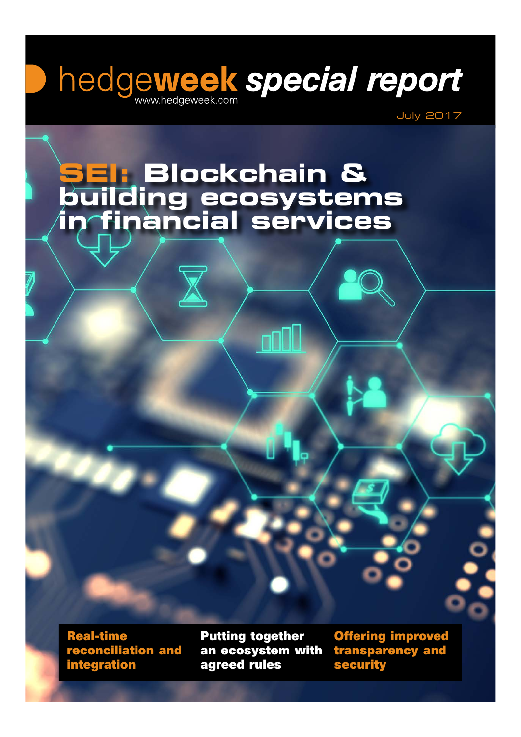# hedgeweek special report

July 2017

### **SEI: Blockchain & building ecosystems in financial services**

**Real-time reconciliation and integration**

**Putting together an ecosystem with agreed rules**

**Offering improved transparency and security**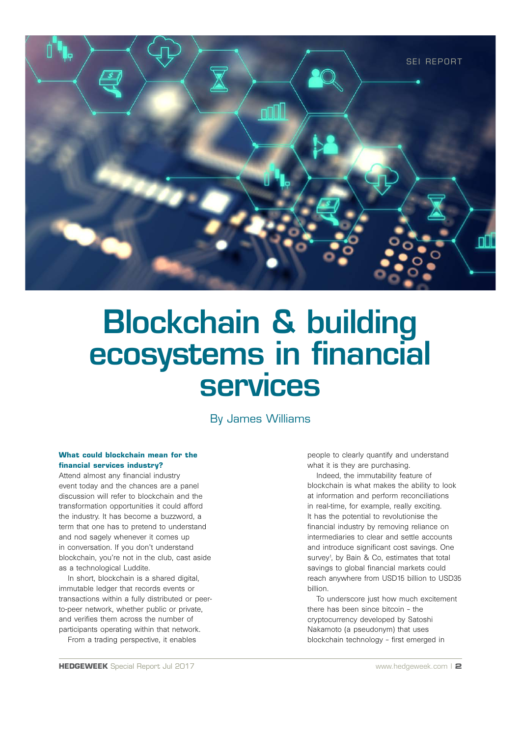

## Blockchain & building ecosystems in financial **services**

By James Williams

#### **What could blockchain mean for the financial services industry?**

Attend almost any financial industry event today and the chances are a panel discussion will refer to blockchain and the transformation opportunities it could afford the industry. It has become a buzzword, a term that one has to pretend to understand and nod sagely whenever it comes up in conversation. If you don't understand blockchain, you're not in the club, cast aside as a technological Luddite.

In short, blockchain is a shared digital, immutable ledger that records events or transactions within a fully distributed or peerto-peer network, whether public or private, and verifies them across the number of participants operating within that network.

From a trading perspective, it enables

people to clearly quantify and understand what it is they are purchasing.

Indeed, the immutability feature of blockchain is what makes the ability to look at information and perform reconciliations in real-time, for example, really exciting. It has the potential to revolutionise the financial industry by removing reliance on intermediaries to clear and settle accounts and introduce significant cost savings. One survey<sup>1</sup>, by Bain & Co, estimates that total savings to global financial markets could reach anywhere from USD15 billion to USD35 billion.

To underscore just how much excitement there has been since bitcoin – the cryptocurrency developed by Satoshi Nakamoto (a pseudonym) that uses blockchain technology – first emerged in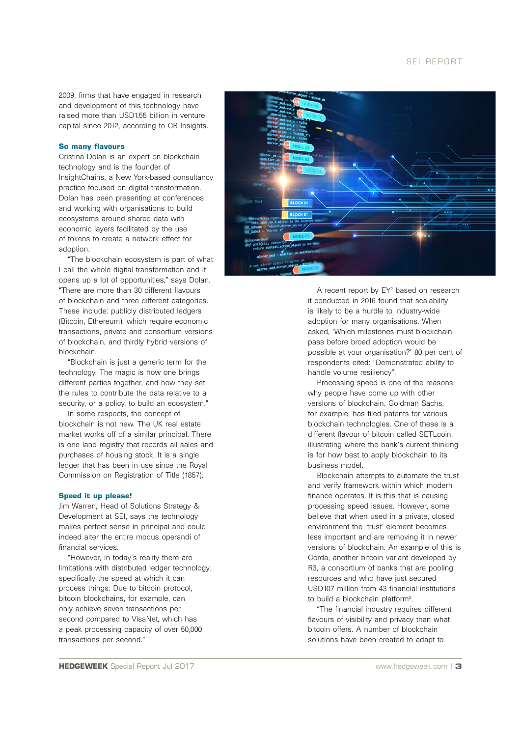2009, firms that have engaged in research and development of this technology have raised more than USD1.55 billion in venture capital since 2012, according to CB Insights.

#### **So many flavours**

Cristina Dolan is an expert on blockchain technology and is the founder of InsightChains, a New York-based consultancy practice focused on digital transformation. Dolan has been presenting at conferences and working with organisations to build ecosystems around shared data with economic layers facilitated by the use of tokens to create a network effect for adoption.

"The blockchain ecosystem is part of what I call the whole digital transformation and it opens up a lot of opportunities," says Dolan. "There are more than 30 different flavours of blockchain and three different categories. These include: publicly distributed ledgers (Bitcoin, Ethereum), which require economic transactions, private and consortium versions of blockchain, and thirdly hybrid versions of blockchain.

"Blockchain is just a generic term for the technology. The magic is how one brings different parties together, and how they set the rules to contribute the data relative to a security, or a policy, to build an ecosystem."

In some respects, the concept of blockchain is not new. The UK real estate market works off of a similar principal. There is one land registry that records all sales and purchases of housing stock. It is a single ledger that has been in use since the Royal Commission on Registration of Title (1857).

#### **Speed it up please!**

Jim Warren, Head of Solutions Strategy & Development at SEI, says the technology makes perfect sense in principal and could indeed alter the entire modus operandi of financial services.

"However, in today's reality there are limitations with distributed ledger technology, specifically the speed at which it can process things: Due to bitcoin protocol, bitcoin blockchains, for example, can only achieve seven transactions per second compared to VisaNet, which has a peak processing capacity of over 50,000 transactions per second."



A recent report by EY<sup>2</sup> based on research it conducted in 2016 found that scalability is likely to be a hurdle to industry-wide adoption for many organisations. When asked, 'Which milestones must blockchain pass before broad adoption would be possible at your organisation?' 80 per cent of respondents cited: "Demonstrated ability to handle volume resiliency".

Processing speed is one of the reasons why people have come up with other versions of blockchain. Goldman Sachs, for example, has filed patents for various blockchain technologies. One of these is a different flavour of bitcoin called SETLcoin, illustrating where the bank's current thinking is for how best to apply blockchain to its business model.

Blockchain attempts to automate the trust and verify framework within which modern finance operates. It is this that is causing processing speed issues. However, some believe that when used in a private, closed environment the 'trust' element becomes less important and are removing it in newer versions of blockchain. An example of this is Corda, another bitcoin variant developed by R3, a consortium of banks that are pooling resources and who have just secured USD107 million from 43 financial institutions to build a blockchain platform<sup>3</sup>.

"The financial industry requires different flavours of visibility and privacy than what bitcoin offers. A number of blockchain solutions have been created to adapt to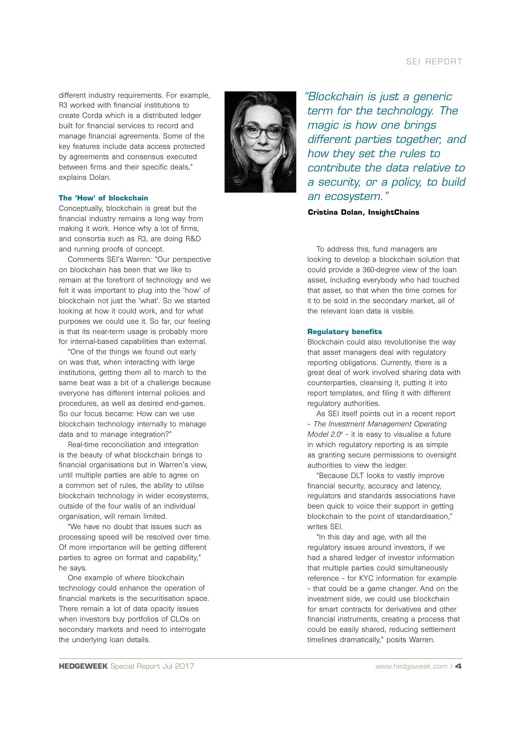#### SEI REPORT

different industry requirements. For example, R3 worked with financial institutions to create Corda which is a distributed ledger built for financial services to record and manage financial agreements. Some of the key features include data access protected by agreements and consensus executed between firms and their specific deals," explains Dolan.

#### **The 'How' of blockchain**

Conceptually, blockchain is great but the financial industry remains a long way from making it work. Hence why a lot of firms, and consortia such as R3, are doing R&D and running proofs of concept.

Comments SEI's Warren: "Our perspective on blockchain has been that we like to remain at the forefront of technology and we felt it was important to plug into the 'how' of blockchain not just the 'what'. So we started looking at how it could work, and for what purposes we could use it. So far, our feeling is that its near-term usage is probably more for internal-based capabilities than external.

"One of the things we found out early on was that, when interacting with large institutions, getting them all to march to the same beat was a bit of a challenge because everyone has different internal policies and procedures, as well as desired end-games. So our focus became: How can we use blockchain technology internally to manage data and to manage integration?"

Real-time reconciliation and integration is the beauty of what blockchain brings to financial organisations but in Warren's view, until multiple parties are able to agree on a common set of rules, the ability to utilise blockchain technology in wider ecosystems, outside of the four walls of an individual organisation, will remain limited.

"We have no doubt that issues such as processing speed will be resolved over time. Of more importance will be getting different parties to agree on format and capability," he says.

One example of where blockchain technology could enhance the operation of financial markets is the securitisation space. There remain a lot of data opacity issues when investors buy portfolios of CLOs on secondary markets and need to interrogate the underlying loan details.



*"Blockchain is just a generic term for the technology. The magic is how one brings different parties together, and how they set the rules to contribute the data relative to a security, or a policy, to build an ecosystem."*

**Cristina Dolan, InsightChains**

To address this, fund managers are looking to develop a blockchain solution that could provide a 360-degree view of the loan asset, including everybody who had touched that asset, so that when the time comes for it to be sold in the secondary market, all of the relevant loan data is visible.

#### **Regulatory benefits**

Blockchain could also revolutionise the way that asset managers deal with regulatory reporting obligations. Currently, there is a great deal of work involved sharing data with counterparties, cleansing it, putting it into report templates, and filing it with different regulatory authorities.

As SEI itself points out in a recent report – *The Investment Management Operating Model 2.04* – it is easy to visualise a future in which regulatory reporting is as simple as granting secure permissions to oversight authorities to view the ledger.

"Because DLT looks to vastly improve financial security, accuracy and latency, regulators and standards associations have been quick to voice their support in getting blockchain to the point of standardisation," writes SEI.

"In this day and age, with all the regulatory issues around investors, if we had a shared ledger of investor information that multiple parties could simultaneously reference – for KYC information for example – that could be a game changer. And on the investment side, we could use blockchain for smart contracts for derivatives and other financial instruments, creating a process that could be easily shared, reducing settlement timelines dramatically," posits Warren.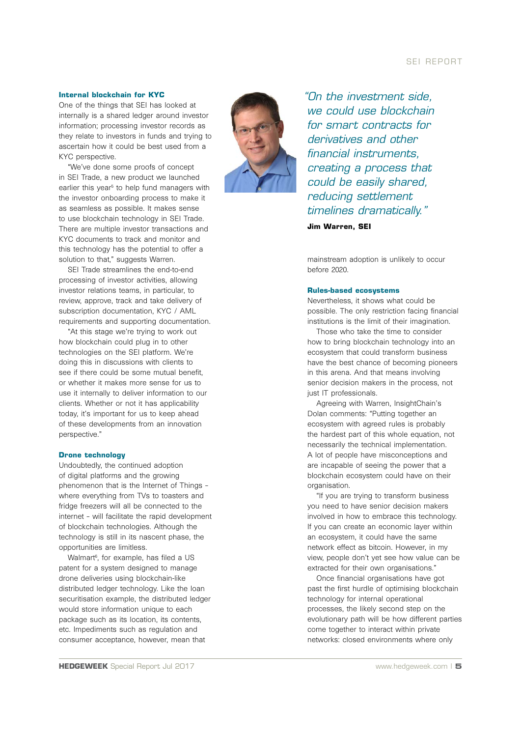#### SEI REPORT

#### **Internal blockchain for KYC**

One of the things that SEI has looked at internally is a shared ledger around investor information; processing investor records as they relate to investors in funds and trying to ascertain how it could be best used from a KYC perspective.

"We've done some proofs of concept in SEI Trade, a new product we launched earlier this year<sup>5</sup> to help fund managers with the investor onboarding process to make it as seamless as possible. It makes sense to use blockchain technology in SEI Trade. There are multiple investor transactions and KYC documents to track and monitor and this technology has the potential to offer a solution to that," suggests Warren.

SEI Trade streamlines the end-to-end processing of investor activities, allowing investor relations teams, in particular, to review, approve, track and take delivery of subscription documentation, KYC / AML requirements and supporting documentation.

"At this stage we're trying to work out how blockchain could plug in to other technologies on the SEI platform. We're doing this in discussions with clients to see if there could be some mutual benefit, or whether it makes more sense for us to use it internally to deliver information to our clients. Whether or not it has applicability today, it's important for us to keep ahead of these developments from an innovation perspective."

#### **Drone technology**

Undoubtedly, the continued adoption of digital platforms and the growing phenomenon that is the Internet of Things – where everything from TVs to toasters and fridge freezers will all be connected to the internet – will facilitate the rapid development of blockchain technologies. Although the technology is still in its nascent phase, the opportunities are limitless.

Walmart<sup>6</sup>, for example, has filed a US patent for a system designed to manage drone deliveries using blockchain-like distributed ledger technology. Like the loan securitisation example, the distributed ledger would store information unique to each package such as its location, its contents, etc. Impediments such as regulation and consumer acceptance, however, mean that



*"On the investment side, we could use blockchain for smart contracts for derivatives and other financial instruments, creating a process that could be easily shared, reducing settlement timelines dramatically."*

**Jim Warren, SEI**

mainstream adoption is unlikely to occur before 2020.

#### **Rules-based ecosystems**

Nevertheless, it shows what could be possible. The only restriction facing financial institutions is the limit of their imagination.

Those who take the time to consider how to bring blockchain technology into an ecosystem that could transform business have the best chance of becoming pioneers in this arena. And that means involving senior decision makers in the process, not just IT professionals.

Agreeing with Warren, InsightChain's Dolan comments: "Putting together an ecosystem with agreed rules is probably the hardest part of this whole equation, not necessarily the technical implementation. A lot of people have misconceptions and are incapable of seeing the power that a blockchain ecosystem could have on their organisation

"If you are trying to transform business you need to have senior decision makers involved in how to embrace this technology. If you can create an economic layer within an ecosystem, it could have the same network effect as bitcoin. However, in my view, people don't yet see how value can be extracted for their own organisations."

Once financial organisations have got past the first hurdle of optimising blockchain technology for internal operational processes, the likely second step on the evolutionary path will be how different parties come together to interact within private networks: closed environments where only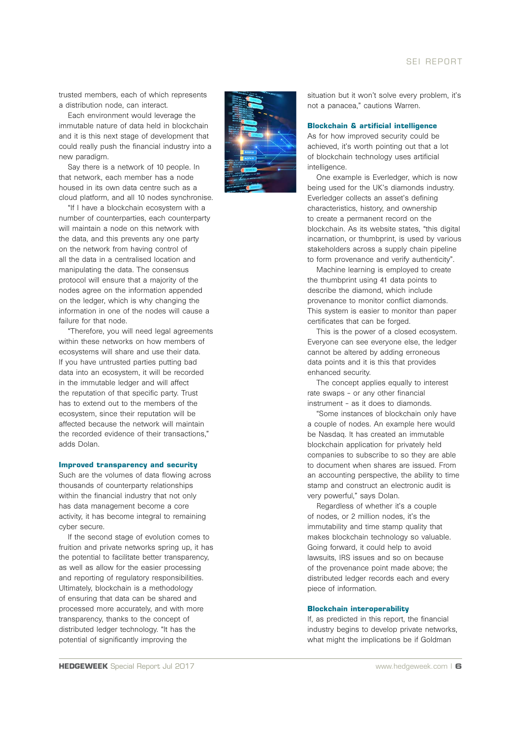#### SEI REPORT

trusted members, each of which represents a distribution node, can interact.

Each environment would leverage the immutable nature of data held in blockchain and it is this next stage of development that could really push the financial industry into a new paradigm.

Say there is a network of 10 people. In that network, each member has a node housed in its own data centre such as a cloud platform, and all 10 nodes synchronise.

"If I have a blockchain ecosystem with a number of counterparties, each counterparty will maintain a node on this network with the data, and this prevents any one party on the network from having control of all the data in a centralised location and manipulating the data. The consensus protocol will ensure that a majority of the nodes agree on the information appended on the ledger, which is why changing the information in one of the nodes will cause a failure for that node.

"Therefore, you will need legal agreements within these networks on how members of ecosystems will share and use their data. If you have untrusted parties putting bad data into an ecosystem, it will be recorded in the immutable ledger and will affect the reputation of that specific party. Trust has to extend out to the members of the ecosystem, since their reputation will be affected because the network will maintain the recorded evidence of their transactions," adds Dolan.

#### **Improved transparency and security**

Such are the volumes of data flowing across thousands of counterparty relationships within the financial industry that not only has data management become a core activity, it has become integral to remaining cyber secure.

If the second stage of evolution comes to fruition and private networks spring up, it has the potential to facilitate better transparency, as well as allow for the easier processing and reporting of regulatory responsibilities. Ultimately, blockchain is a methodology of ensuring that data can be shared and processed more accurately, and with more transparency, thanks to the concept of distributed ledger technology. "It has the potential of significantly improving the



situation but it won't solve every problem, it's not a panacea," cautions Warren.

#### **Blockchain & artificial intelligence**

As for how improved security could be achieved, it's worth pointing out that a lot of blockchain technology uses artificial intelligence.

One example is Everledger, which is now being used for the UK's diamonds industry. Everledger collects an asset's defining characteristics, history, and ownership to create a permanent record on the blockchain. As its website states, "this digital incarnation, or thumbprint, is used by various stakeholders across a supply chain pipeline to form provenance and verify authenticity".

Machine learning is employed to create the thumbprint using 41 data points to describe the diamond, which include provenance to monitor conflict diamonds. This system is easier to monitor than paper certificates that can be forged.

This is the power of a closed ecosystem. Everyone can see everyone else, the ledger cannot be altered by adding erroneous data points and it is this that provides enhanced security.

The concept applies equally to interest rate swaps – or any other financial instrument – as it does to diamonds.

"Some instances of blockchain only have a couple of nodes. An example here would be Nasdaq. It has created an immutable blockchain application for privately held companies to subscribe to so they are able to document when shares are issued. From an accounting perspective, the ability to time stamp and construct an electronic audit is very powerful," says Dolan.

Regardless of whether it's a couple of nodes, or 2 million nodes, it's the immutability and time stamp quality that makes blockchain technology so valuable. Going forward, it could help to avoid lawsuits, IRS issues and so on because of the provenance point made above; the distributed ledger records each and every piece of information.

#### **Blockchain interoperability**

If, as predicted in this report, the financial industry begins to develop private networks, what might the implications be if Goldman